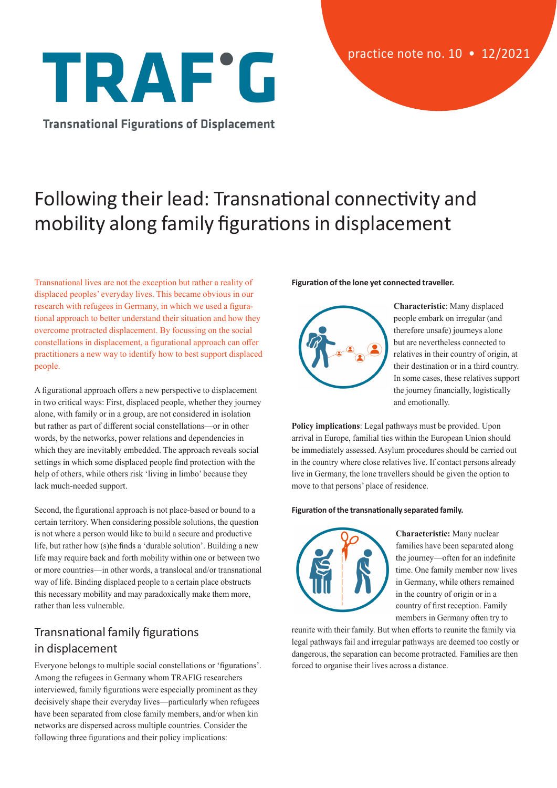# TRAF'G

**Transnational Figurations of Displacement** 

# Following their lead: Transnational connectivity and mobility along family figurations in displacement

Transnational lives are not the exception but rather a reality of displaced peoples' everyday lives. This became obvious in our research with refugees in Germany, in which we used a figurational approach to better understand their situation and how they overcome protracted displacement. By focussing on the social constellations in displacement, a figurational approach can offer practitioners a new way to identify how to best support displaced people.

A figurational approach offers a new perspective to displacement in two critical ways: First, displaced people, whether they journey alone, with family or in a group, are not considered in isolation but rather as part of different social constellations—or in other words, by the networks, power relations and dependencies in which they are inevitably embedded. The approach reveals social settings in which some displaced people find protection with the help of others, while others risk 'living in limbo' because they lack much-needed support.

Second, the figurational approach is not place-based or bound to a certain territory. When considering possible solutions, the question is not where a person would like to build a secure and productive life, but rather how (s)he finds a 'durable solution'. Building a new life may require back and forth mobility within one or between two or more countries—in other words, a translocal and/or transnational way of life. Binding displaced people to a certain place obstructs this necessary mobility and may paradoxically make them more, rather than less vulnerable.

## Transnational family figurations in displacement

Everyone belongs to multiple social constellations or 'figurations'. Among the refugees in Germany whom TRAFIG researchers interviewed, family figurations were especially prominent as they decisively shape their everyday lives—particularly when refugees have been separated from close family members, and/or when kin networks are dispersed across multiple countries. Consider the following three figurations and their policy implications:

#### **Figuration of the lone yet connected traveller.**



**Characteristic**: Many displaced people embark on irregular (and therefore unsafe) journeys alone but are nevertheless connected to relatives in their country of origin, at their destination or in a third country. In some cases, these relatives support the journey financially, logistically and emotionally.

**Policy implications**: Legal pathways must be provided. Upon arrival in Europe, familial ties within the European Union should be immediately assessed. Asylum procedures should be carried out in the country where close relatives live. If contact persons already live in Germany, the lone travellers should be given the option to move to that persons' place of residence.

#### **Figuration of the transnationally separated family.**



**Characteristic:** Many nuclear families have been separated along the journey—often for an indefinite time. One family member now lives in Germany, while others remained in the country of origin or in a country of first reception. Family members in Germany often try to

reunite with their family. But when efforts to reunite the family via legal pathways fail and irregular pathways are deemed too costly or dangerous, the separation can become protracted. Families are then forced to organise their lives across a distance.